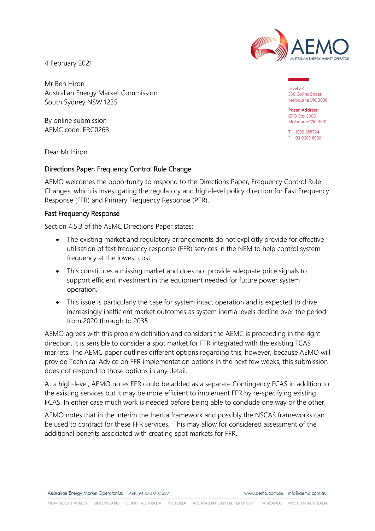

4 February 2021

Mr Ben Hiron Australian Energy Market Commission South Sydney NSW 1235

By online submission AEMC code: ERC0263 Level 22 530 Collins Street Melbourne VIC 3000

**Postal Address:** GPO Box 2008 Melbourne VIC 3001

T 1300 858724 F 03 9609 8080

Dear Mr Hiron

## Directions Paper, Frequency Control Rule Change

AEMO welcomes the opportunity to respond to the Directions Paper, Frequency Control Rule Changes, which is investigating the regulatory and high-level policy direction for Fast Frequency Response (FFR) and Primary Frequency Response (PFR).

## Fast Frequency Response

Section 4.5.3 of the AEMC Directions Paper states:

- The existing market and regulatory arrangements do not explicitly provide for effective utilisation of fast frequency response (FFR) services in the NEM to help control system frequency at the lowest cost.
- This constitutes a missing market and does not provide adequate price signals to support efficient investment in the equipment needed for future power system operation.
- This issue is particularly the case for system intact operation and is expected to drive increasingly inefficient market outcomes as system inertia levels decline over the period from 2020 through to 2035.

AEMO agrees with this problem definition and considers the AEMC is proceeding in the right direction. It is sensible to consider a spot market for FFR integrated with the existing FCAS markets. The AEMC paper outlines different options regarding this, however, because AEMO will provide Technical Advice on FFR implementation options in the next few weeks, this submission does not respond to those options in any detail.

At a high-level, AEMO notes FFR could be added as a separate Contingency FCAS in addition to the existing services but it may be more efficient to implement FFR by re-specifying existing FCAS. In either case much work is needed before being able to conclude one way or the other.

AEMO notes that in the interim the Inertia framework and possibly the NSCAS frameworks can be used to contract for these FFR services. This may allow for considered assessment of the additional benefits associated with creating spot markets for FFR.